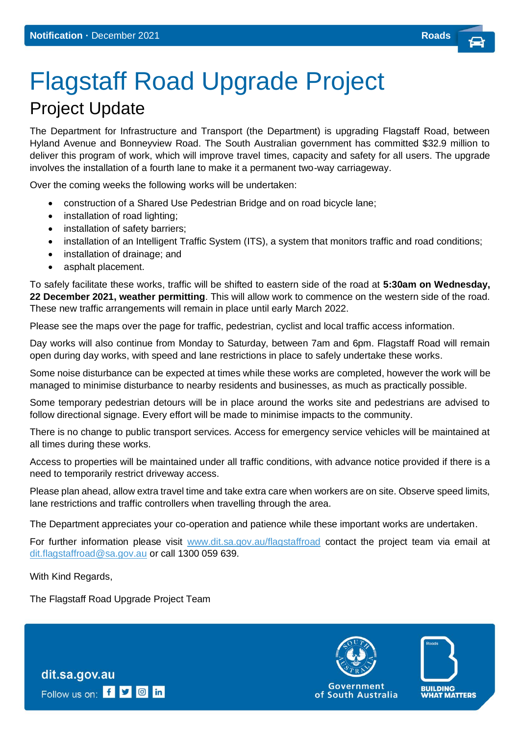## Flagstaff Road Upgrade Project Project Update

The Department for Infrastructure and Transport (the Department) is upgrading Flagstaff Road, between Hyland Avenue and Bonneyview Road. The South Australian government has committed \$32.9 million to deliver this program of work, which will improve travel times, capacity and safety for all users. The upgrade involves the installation of a fourth lane to make it a permanent two-way carriageway.

Over the coming weeks the following works will be undertaken:

- construction of a Shared Use Pedestrian Bridge and on road bicycle lane;
- installation of road lighting;
- installation of safety barriers:
- installation of an Intelligent Traffic System (ITS), a system that monitors traffic and road conditions;
- installation of drainage; and
- asphalt placement.

To safely facilitate these works, traffic will be shifted to eastern side of the road at **5:30am on Wednesday, 22 December 2021, weather permitting**. This will allow work to commence on the western side of the road. These new traffic arrangements will remain in place until early March 2022.

Please see the maps over the page for traffic, pedestrian, cyclist and local traffic access information.

Day works will also continue from Monday to Saturday, between 7am and 6pm. Flagstaff Road will remain open during day works, with speed and lane restrictions in place to safely undertake these works.

Some noise disturbance can be expected at times while these works are completed, however the work will be managed to minimise disturbance to nearby residents and businesses, as much as practically possible.

Some temporary pedestrian detours will be in place around the works site and pedestrians are advised to follow directional signage. Every effort will be made to minimise impacts to the community.

There is no change to public transport services. Access for emergency service vehicles will be maintained at all times during these works.

Access to properties will be maintained under all traffic conditions, with advance notice provided if there is a need to temporarily restrict driveway access.

Please plan ahead, allow extra travel time and take extra care when workers are on site. Observe speed limits, lane restrictions and traffic controllers when travelling through the area.

The Department appreciates your co-operation and patience while these important works are undertaken.

For further information please visit [www.dit.sa.gov.au/flagstaffroad](file:///C:/Users/Nicki%20Johnson/AppData/Local/Microsoft/Windows/INetCache/Content.Outlook/1PRZMHJH/www.dit.sa.gov.au/flagstaffroad) contact the project team via email at [dit.flagstaffroad@sa.gov.au](mailto:dit.flagstaffroad@sa.gov.au) or call 1300 059 639.

With Kind Regards,

The Flagstaff Road Upgrade Project Team



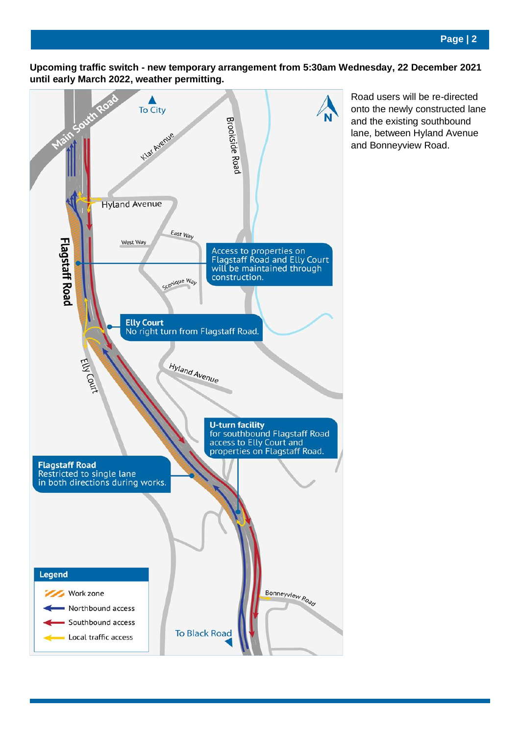**Upcoming traffic switch - new temporary arrangement from 5:30am Wednesday, 22 December 2021 until early March 2022, weather permitting.** 



Road users will be re-directed onto the newly constructed lane and the existing southbound lane, between Hyland Avenue and Bonneyview Road.